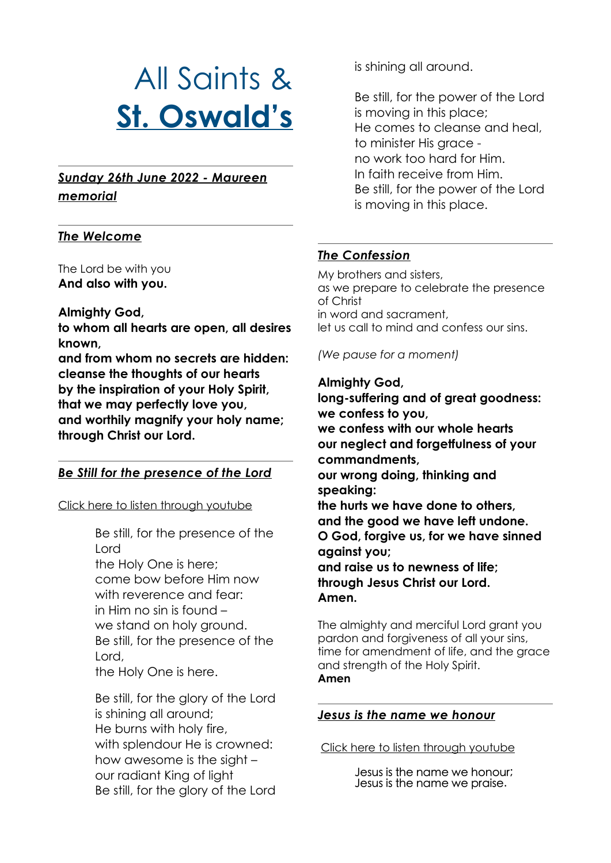# All Saints & **St. Oswald's**

# *Sunday 26th June 2022 - Maureen memorial*

#### *The Welcome*

The Lord be with you **And also with you.**

#### **Almighty God,**

**to whom all hearts are open, all desires known,**

**and from whom no secrets are hidden: cleanse the thoughts of our hearts by the inspiration of your Holy Spirit, that we may perfectly love you, and worthily magnify your holy name; through Christ our Lord.** 

# *Be Still for the presence of the Lord*

[Click here to listen through youtube](https://www.youtube.com/watch?v=KvQZKDAurWI)

Be still, for the presence of the Lord the Holy One is here;

come bow before Him now with reverence and fear: in Him no sin is found – we stand on holy ground. Be still, for the presence of the Lord,

the Holy One is here.

Be still, for the glory of the Lord is shining all around; He burns with holy fire, with splendour He is crowned: how awesome is the sight – our radiant King of light Be still, for the glory of the Lord is shining all around.

Be still, for the power of the Lord is moving in this place; He comes to cleanse and heal, to minister His grace no work too hard for Him. In faith receive from Him. Be still, for the power of the Lord is moving in this place.

#### *The Confession*

My brothers and sisters, as we prepare to celebrate the presence of Christ in word and sacrament, let us call to mind and confess our sins.

*(We pause for a moment)*

#### **Almighty God,**

**long-suffering and of great goodness: we confess to you, we confess with our whole hearts our neglect and forgetfulness of your commandments, our wrong doing, thinking and speaking: the hurts we have done to others, and the good we have left undone. O God, forgive us, for we have sinned against you; and raise us to newness of life; through Jesus Christ our Lord. Amen.**

The almighty and merciful Lord grant you pardon and forgiveness of all your sins, time for amendment of life, and the grace and strength of the Holy Spirit. **Amen**

#### *Jesus is the name we honour*

[Click here to listen through youtube](https://www.youtube.com/watch?v=ZlaRuW17rdU)

Jesus is the name we honour; Jesus is the name we praise.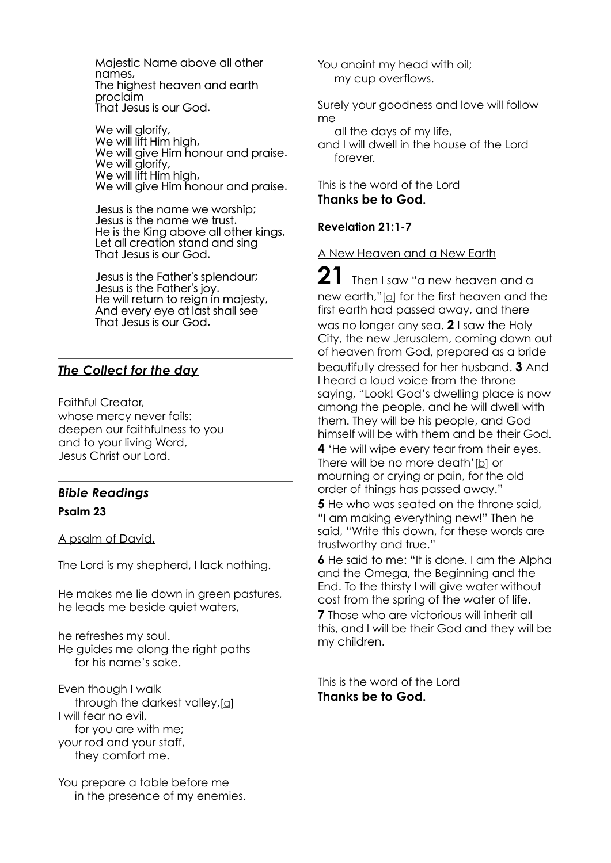Majestic Name above all other names, The highest heaven and earth proclaim That Jesus is our God.

We will glorify, We will lift Him high, We will give Him honour and praise. We will glorify, We will lift Him high, We will give Him honour and praise.

Jesus is the name we worship; Jesus is the name we trust. He is the King above all other kings, Let all creation stand and sing That Jesus is our God.

Jesus is the Father's splendour; Jesus is the Father's joy. He will return to reign in majesty, And every eye at last shall see That Jesus is our God.

# *The Collect for the day*

Faithful Creator, whose mercy never fails: deepen our faithfulness to you and to your living Word, Jesus Christ our Lord.

# *Bible Readings*

#### **Psalm 23**

A psalm of David.

The Lord is my shepherd, I lack nothing.

He makes me lie down in green pastures, he leads me beside quiet waters,

he refreshes my soul. He guides me along the right paths for his name's sake.

Even though I walk through the darkest valley,[a] I will fear no evil, for you are with me; your rod and your staff, they comfort me.

You prepare a table before me in the presence of my enemies. You anoint my head with oil; my cup overflows.

Surely your goodness and love will follow me

all the days of my life,

and I will dwell in the house of the Lord forever.

This is the word of the Lord **Thanks be to God.**

# **Revelation 21:1-7**

A New Heaven and a New Earth

 $\mathbf{21}\,$  Then I saw "a new heaven and a new earth," $\left[ \underline{\alpha} \right]$  for the first heaven and the first earth had passed away, and there was no longer any sea. **2** I saw the Holy City, the new Jerusalem, coming down out of heaven from God, prepared as a bride beautifully dressed for her husband. **3** And I heard a loud voice from the throne saying, "Look! God's dwelling place is now among the people, and he will dwell with them. They will be his people, and God himself will be with them and be their God.

**4** 'He will wipe every tear from their eyes. There will be no more death'[b] or mourning or crying or pain, for the old order of things has passed away."

**5** He who was seated on the throne said, "I am making everything new!" Then he said, "Write this down, for these words are trustworthy and true."

**6** He said to me: "It is done. I am the Alpha and the Omega, the Beginning and the End. To the thirsty I will give water without cost from the spring of the water of life.

**7** Those who are victorious will inherit all this, and I will be their God and they will be my children.

This is the word of the Lord **Thanks be to God.**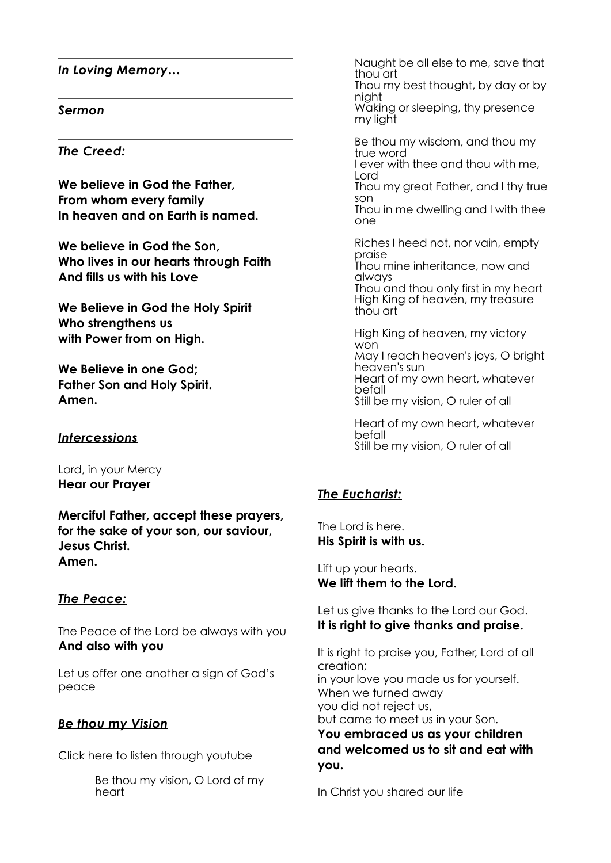# *In Loving Memory…*

## *Sermon*

*The Creed:*

**We believe in God the Father, From whom every family In heaven and on Earth is named.**

**We believe in God the Son, Who lives in our hearts through Faith And fills us with his Love**

**We Believe in God the Holy Spirit Who strengthens us with Power from on High.**

**We Believe in one God; Father Son and Holy Spirit. Amen.**

*Intercessions*

Lord, in your Mercy **Hear our Prayer**

**Merciful Father, accept these prayers, for the sake of your son, our saviour, Jesus Christ. Amen.**

# *The Peace:*

The Peace of the Lord be always with you **And also with you**

Let us offer one another a sign of God's peace

# *Be thou my Vision*

[Click here to listen through youtube](https://www.youtube.com/watch?v=ng2ievYKUTo)

Be thou my vision, O Lord of my heart

Naught be all else to me, save that thou art Thou my best thought, by day or by

night Waking or sleeping, thy presence

my light

Be thou my wisdom, and thou my true word I ever with thee and thou with me, Lord

Thou my great Father, and I thy true son

Thou in me dwelling and I with thee one

Riches I heed not, nor vain, empty praise Thou mine inheritance, now and always Thou and thou only first in my heart High King of heaven, my treasure thou art

High King of heaven, my victory won May I reach heaven's joys, O bright heaven's sun Heart of my own heart, whatever befall Still be my vision, O ruler of all

Heart of my own heart, whatever befall Still be my vision, O ruler of all

# *The Eucharist:*

The Lord is here. **His Spirit is with us.**

Lift up your hearts. **We lift them to the Lord.**

Let us give thanks to the Lord our God. **It is right to give thanks and praise.**

It is right to praise you, Father, Lord of all creation; in your love you made us for yourself.

When we turned away you did not reject us, but came to meet us in your Son.

**You embraced us as your children and welcomed us to sit and eat with you.**

In Christ you shared our life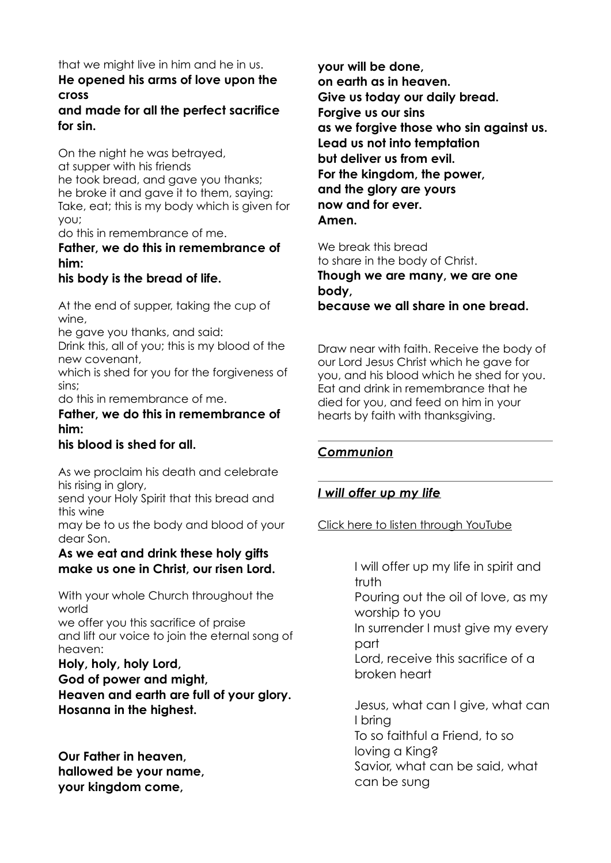that we might live in him and he in us. **He opened his arms of love upon the cross**

#### **and made for all the perfect sacrifice for sin.**

On the night he was betrayed, at supper with his friends he took bread, and gave you thanks; he broke it and gave it to them, saying: Take, eat; this is my body which is given for you;

do this in remembrance of me.

#### **Father, we do this in remembrance of him:**

#### **his body is the bread of life.**

At the end of supper, taking the cup of wine,

he gave you thanks, and said:

Drink this, all of you; this is my blood of the new covenant,

which is shed for you for the forgiveness of sins;

do this in remembrance of me.

#### **Father, we do this in remembrance of him:**

#### **his blood is shed for all.**

As we proclaim his death and celebrate his rising in glory,

send your Holy Spirit that this bread and this wine

may be to us the body and blood of your dear Son.

#### **As we eat and drink these holy gifts make us one in Christ, our risen Lord.**

With your whole Church throughout the world

we offer you this sacrifice of praise and lift our voice to join the eternal song of heaven:

**Holy, holy, holy Lord, God of power and might, Heaven and earth are full of your glory. Hosanna in the highest.**

**Our Father in heaven, hallowed be your name, your kingdom come,**

**your will be done, on earth as in heaven. Give us today our daily bread. Forgive us our sins as we forgive those who sin against us. Lead us not into temptation but deliver us from evil. For the kingdom, the power, and the glory are yours now and for ever. Amen.**

We break this bread to share in the body of Christ. **Though we are many, we are one body, because we all share in one bread.**

Draw near with faith. Receive the body of our Lord Jesus Christ which he gave for you, and his blood which he shed for you. Eat and drink in remembrance that he died for you, and feed on him in your hearts by faith with thanksgiving.

# *Communion*

# *I will offer up my life*

[Click here to listen through YouTube](https://www.youtube.com/watch?v=kQkzHwz2eLE)

I will offer up my life in spirit and truth Pouring out the oil of love, as my worship to you In surrender I must give my every part Lord, receive this sacrifice of a broken heart Jesus, what can I give, what can I bring To so faithful a Friend, to so

loving a King? Savior, what can be said, what can be sung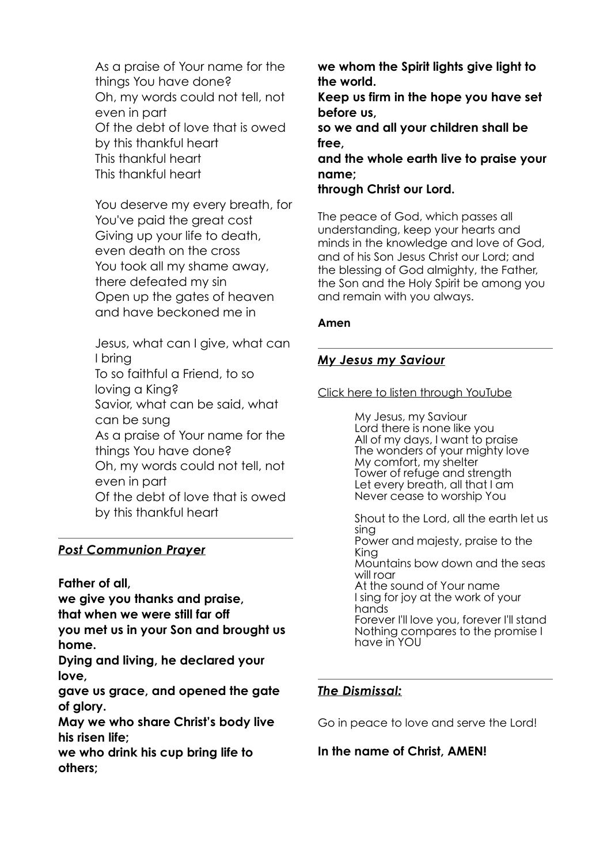As a praise of Your name for the things You have done? Oh, my words could not tell, not even in part Of the debt of love that is owed by this thankful heart This thankful heart This thankful heart

You deserve my every breath, for You've paid the great cost Giving up your life to death, even death on the cross You took all my shame away, there defeated my sin Open up the gates of heaven and have beckoned me in

Jesus, what can I give, what can I bring

To so faithful a Friend, to so loving a King?

Savior, what can be said, what can be sung

As a praise of Your name for the things You have done? Oh, my words could not tell, not

even in part

Of the debt of love that is owed by this thankful heart

# *Post Communion Prayer*

**Father of all,**

**we give you thanks and praise,**

**that when we were still far off**

**you met us in your Son and brought us home.**

**Dying and living, he declared your love,**

**gave us grace, and opened the gate of glory.**

**May we who share Christ's body live his risen life;**

**we who drink his cup bring life to others;**

**we whom the Spirit lights give light to the world.**

**Keep us firm in the hope you have set before us,**

**so we and all your children shall be free,**

**and the whole earth live to praise your name;**

## **through Christ our Lord.**

The peace of God, which passes all understanding, keep your hearts and minds in the knowledge and love of God, and of his Son Jesus Christ our Lord; and the blessing of God almighty, the Father, the Son and the Holy Spirit be among you and remain with you always.

#### **Amen**

#### *My Jesus my Saviour*

#### [Click here to listen through YouTube](https://www.youtube.com/watch?v=dr78ff70XKQ)

My Jesus, my Saviour Lord there is none like you All of my days, I want to praise The wonders of your mighty love My comfort, my shelter Tower of refuge and strength Let every breath, all that I am Never cease to worship You

Shout to the Lord, all the earth let us sing Power and majesty, praise to the King Mountains bow down and the seas will roar At the sound of Your name I sing for joy at the work of your hands Forever I'll love you, forever I'll stand Nothing compares to the promise I have in YOU

# *The Dismissal:*

Go in peace to love and serve the Lord!

#### **In the name of Christ, AMEN!**